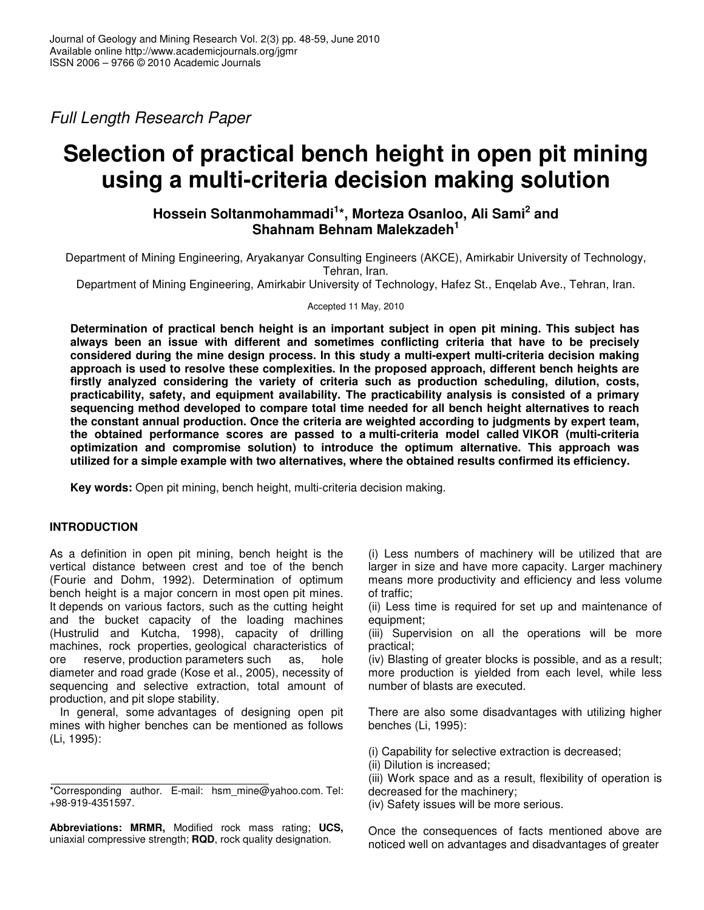*Full Length Research Paper*

# **Selection of practical bench height in open pit mining using a multi-criteria decision making solution**

## **Hossein Soltanmohammadi 1 \*, Morteza Osanloo, Ali Sami 2 and Shahnam Behnam Malekzadeh 1**

Department of Mining Engineering, Aryakanyar Consulting Engineers (AKCE), Amirkabir University of Technology, Tehran, Iran.

Department of Mining Engineering, Amirkabir University of Technology, Hafez St., Enqelab Ave., Tehran, Iran.

Accepted 11 May, 2010

**Determination of practical bench height is an important subject in open pit mining. This subject has always been an issue with different and sometimes conflicting criteria that have to be precisely considered during the mine design process. In this study a multi-expert multi-criteria decision making approach is used to resolve these complexities. In the proposed approach, different bench heights are firstly analyzed considering the variety of criteria such as production scheduling, dilution, costs, practicability, safety, and equipment availability. The practicability analysis is consisted of a primary sequencing method developed to compare total time needed for all bench height alternatives to reach the constant annual production. Once the criteria are weighted according to judgments by expert team, the obtained performance scores are passed to a multi-criteria model called VIKOR (multi-criteria optimization and compromise solution) to introduce the optimum alternative. This approach was utilized for a simple example with two alternatives, where the obtained results confirmed its efficiency.**

**Key words:** Open pit mining, bench height, multi-criteria decision making.

## **INTRODUCTION**

As a definition in open pit mining, bench height is the vertical distance between crest and toe of the bench (Fourie and Dohm, 1992). Determination of optimum bench height is a major concern in most open pit mines. It depends on various factors, such as the cutting height and the bucket capacity of the loading machines (Hustrulid and Kutcha, 1998), capacity of drilling machines, rock properties, geological characteristics of ore reserve, production parameters such as, hole diameter and road grade (Kose et al., 2005), necessity of sequencing and selective extraction, total amount of production, and pit slope stability.

In general, some advantages of designing open pit mines with higher benches can be mentioned as follows (Li, 1995):

**Abbreviations: MRMR,** Modified rock mass rating; **UCS,** uniaxial compressive strength; **RQD**, rock quality designation.

(i) Less numbers of machinery will be utilized that are larger in size and have more capacity. Larger machinery means more productivity and efficiency and less volume of traffic;

(ii) Less time is required for set up and maintenance of equipment;

(iii) Supervision on all the operations will be more practical;

(iv) Blasting of greater blocks is possible, and as a result; more production is yielded from each level, while less number of blasts are executed.

There are also some disadvantages with utilizing higher benches (Li, 1995):

(i) Capability for selective extraction is decreased;

(ii) Dilution is increased;

(iii) Work space and as a result, flexibility of operation is decreased for the machinery;

(iv) Safety issues will be more serious.

Once the consequences of facts mentioned above are noticed well on advantages and disadvantages of greater

<sup>\*</sup>Corresponding author. E-mail: hsm\_mine@yahoo.com. Tel: +98-919-4351597.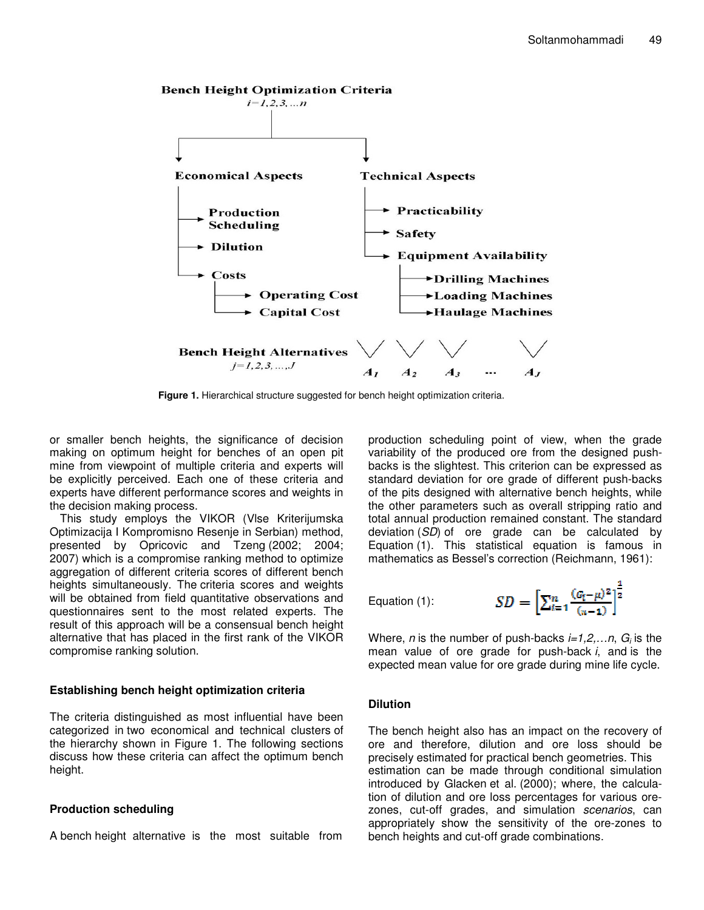

**Figure 1.** Hierarchical structure suggested for bench height optimization criteria.

or smaller bench heights, the significance of decision making on optimum height for benches of an open pit mine from viewpoint of multiple criteria and experts will be explicitly perceived. Each one of these criteria and experts have different performance scores and weights in the decision making process.

This study employs the VIKOR (Vlse Kriterijumska Optimizacija I Kompromisno Resenje in Serbian) method, presented by Opricovic and Tzeng (2002; 2004; 2007) which is a compromise ranking method to optimize aggregation of different criteria scores of different bench heights simultaneously. The criteria scores and weights will be obtained from field quantitative observations and questionnaires sent to the most related experts. The result of this approach will be a consensual bench height alternative that has placed in the first rank of the VIKOR compromise ranking solution.

#### **Establishing bench height optimization criteria**

The criteria distinguished as most influential have been categorized in two economical and technical clusters of the hierarchy shown in Figure 1. The following sections discuss how these criteria can affect the optimum bench height.

## **Production scheduling**

A bench height alternative is the most suitable from

production scheduling point of view, when the grade variability of the produced ore from the designed pushbacks is the slightest. This criterion can be expressed as standard deviation for ore grade of different push-backs of the pits designed with alternative bench heights, while the other parameters such as overall stripping ratio and total annual production remained constant. The standard deviation (*SD*) of ore grade can be calculated by Equation (1). This statistical equation is famous in mathematics as Bessel's correction (Reichmann, 1961):

Equation (1):

$$
SD = \left[\sum_{i=1}^{n} \frac{(G_i - \mu)^2}{(n-1)}\right]^{\frac{1}{2}}
$$

Where, *n* is the number of push-backs *i=1,2,…n*, *G<sup>i</sup>* is the mean value of ore grade for push-back *i*, and is the expected mean value for ore grade during mine life cycle.

## **Dilution**

The bench height also has an impact on the recovery of ore and therefore, dilution and ore loss should be precisely estimated for practical bench geometries. This estimation can be made through conditional simulation introduced by Glacken et al. (2000); where, the calculation of dilution and ore loss percentages for various orezones, cut-off grades, and simulation *scenarios*, can appropriately show the sensitivity of the ore-zones to bench heights and cut-off grade combinations.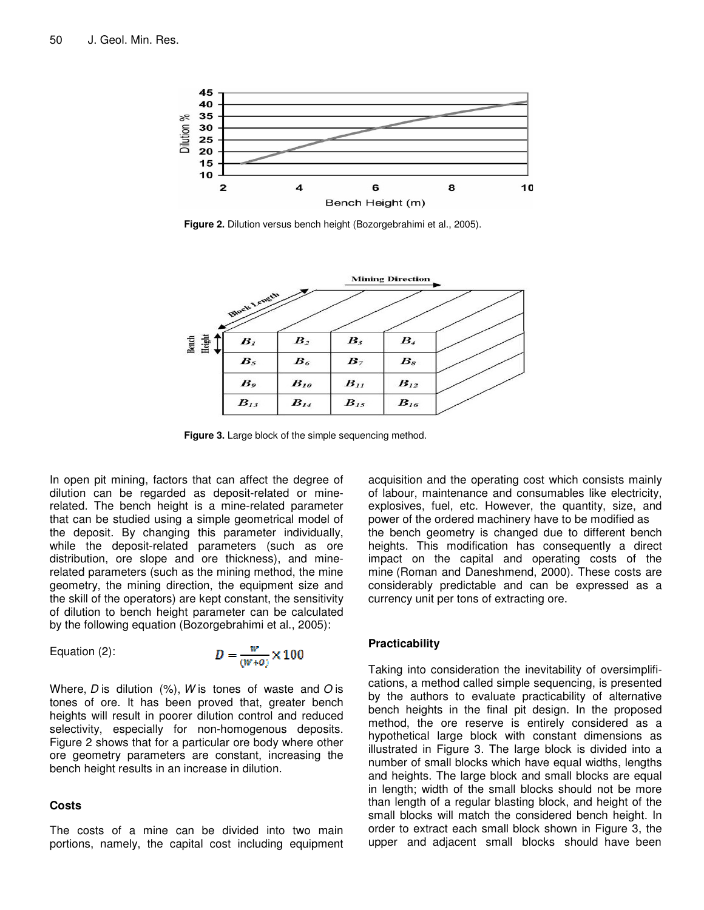

**Figure 2.** Dilution versus bench height (Bozorgebrahimi et al., 2005).



**Figure 3.** Large block of the simple sequencing method.

In open pit mining, factors that can affect the degree of dilution can be regarded as deposit-related or minerelated. The bench height is a mine-related parameter that can be studied using a simple geometrical model of the deposit. By changing this parameter individually, while the deposit-related parameters (such as ore distribution, ore slope and ore thickness), and minerelated parameters (such as the mining method, the mine geometry, the mining direction, the equipment size and the skill of the operators) are kept constant, the sensitivity of dilution to bench height parameter can be calculated by the following equation (Bozorgebrahimi et al., 2005):

Equation (2):

$$
D = \frac{w}{(W+O)} \times 100
$$

Where, *D* is dilution (%), *W* is tones of waste and *O* is tones of ore. It has been proved that, greater bench heights will result in poorer dilution control and reduced selectivity, especially for non-homogenous deposits. Figure 2 shows that for a particular ore body where other ore geometry parameters are constant, increasing the bench height results in an increase in dilution.

#### **Costs**

The costs of a mine can be divided into two main portions, namely, the capital cost including equipment

acquisition and the operating cost which consists mainly of labour, maintenance and consumables like electricity, explosives, fuel, etc. However, the quantity, size, and power of the ordered machinery have to be modified as the bench geometry is changed due to different bench heights. This modification has consequently a direct impact on the capital and operating costs of the mine (Roman and Daneshmend, 2000). These costs are considerably predictable and can be expressed as a currency unit per tons of extracting ore.

#### **Practicability**

Taking into consideration the inevitability of oversimplifications, a method called simple sequencing, is presented by the authors to evaluate practicability of alternative bench heights in the final pit design. In the proposed method, the ore reserve is entirely considered as a hypothetical large block with constant dimensions as illustrated in Figure 3. The large block is divided into a number of small blocks which have equal widths, lengths and heights. The large block and small blocks are equal in length; width of the small blocks should not be more than length of a regular blasting block, and height of the small blocks will match the considered bench height. In order to extract each small block shown in Figure 3, the upper and adjacent small blocks should have been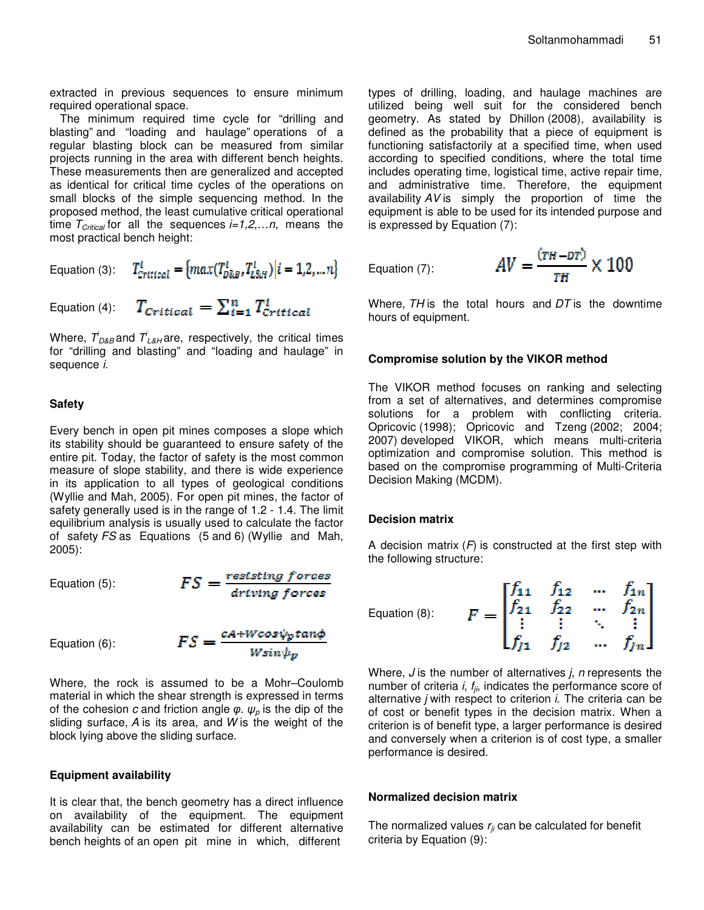extracted in previous sequences to ensure minimum required operational space.

The minimum required time cycle for "drilling and blasting" and "loading and haulage" operations of a regular blasting block can be measured from similar projects running in the area with different bench heights. These measurements then are generalized and accepted as identical for critical time cycles of the operations on small blocks of the simple sequencing method. In the proposed method, the least cumulative critical operational time *TCritical* for all the sequences *i=1,2,…n*, means the most practical bench height:

Equation (3): 
$$
T_{\text{critical}}^i = \{ \max(T_{\text{DRB}}^i, T_{\text{LRH}}^i) | i = 1, 2, \dots n \}
$$

Equation (4): 
$$
T_{\text{critical}} = \sum_{i=1}^{n} T_{\text{critical}}^{t}
$$

Where,  $\mathcal{T}_{\scriptscriptstyle D\&B}^{i}$  and  $\mathcal{T}_{\scriptscriptstyle L\&H}^{i}$ are, respectively, the critical times for "drilling and blasting" and "loading and haulage" in sequence *i*.

#### **Safety**

Every bench in open pit mines composes a slope which its stability should be guaranteed to ensure safety of the entire pit. Today, the factor of safety is the most common measure of slope stability, and there is wide experience in its application to all types of geological conditions (Wyllie and Mah, 2005). For open pit mines, the factor of safety generally used is in the range of 1.2 - 1.4. The limit equilibrium analysis is usually used to calculate the factor of safety *FS* as Equations (5 and 6) (Wyllie and Mah, 2005):

Equation (5): 
$$
FS = \frac{resisting \ forces}{driving \ forces}
$$

Equation (6):

$$
FS = \frac{cA + Wcos\psi_p\tan\phi}{Wsin\psi_p}
$$

Where, the rock is assumed to be a Mohr–Coulomb material in which the shear strength is expressed in terms of the cohesion  $c$  and friction angle  $\pmb{\varphi}$ .  $\pmb{\psi}_\rho$  is the dip of the sliding surface, *A* is its area, and *W* is the weight of the block lying above the sliding surface.

#### **Equipment availability**

It is clear that, the bench geometry has a direct influence on availability of the equipment. The equipment availability can be estimated for different alternative bench heights of an open pit mine in which, different

types of drilling, loading, and haulage machines are utilized being well suit for the considered bench geometry. As stated by Dhillon (2008), availability is defined as the probability that a piece of equipment is functioning satisfactorily at a specified time, when used according to specified conditions, where the total time includes operating time, logistical time, active repair time, and administrative time. Therefore, the equipment availability *AV* is simply the proportion of time the equipment is able to be used for its intended purpose and is expressed by Equation (7):

Equation (7):

$$
AV = \frac{(TH - DT)}{TH} \times 100
$$

Where, *TH* is the total hours and *DT* is the downtime hours of equipment.

#### **Compromise solution by the VIKOR method**

The VIKOR method focuses on ranking and selecting from a set of alternatives, and determines compromise solutions for a problem with conflicting criteria. Opricovic (1998); Opricovic and Tzeng (2002; 2004; 2007) developed VIKOR, which means multi-criteria optimization and compromise solution. This method is based on the compromise programming of Multi-Criteria Decision Making (MCDM).

#### **Decision matrix**

A decision matrix (*F*) is constructed at the first step with the following structure:

Equation (8): 
$$
F = \begin{bmatrix} f_{11} & f_{12} & \cdots & f_{1n} \\ f_{21} & f_{22} & \cdots & f_{2n} \\ \vdots & \vdots & \ddots & \vdots \\ f_{J1} & f_{J2} & \cdots & f_{Jn} \end{bmatrix}
$$

Where, *J* is the number of alternatives *j*, *n* represents the number of criteria *i*, *fji* , indicates the performance score of alternative *j* with respect to criterion *i*. The criteria can be of cost or benefit types in the decision matrix. When a criterion is of benefit type, a larger performance is desired and conversely when a criterion is of cost type, a smaller performance is desired.

#### **Normalized decision matrix**

The normalized values *rji* can be calculated for benefit criteria by Equation (9):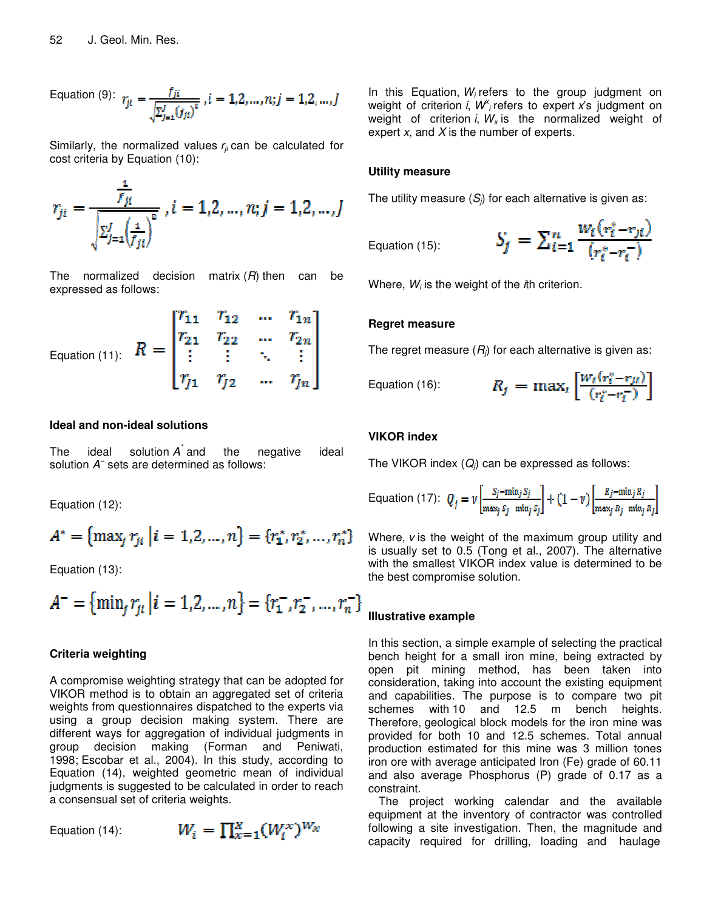Equation (9): 
$$
r_{ji} = \frac{f_{ji}}{\sqrt{\sum_{j=1}^{J} (f_{ji})^2}}, i = 1, 2, ..., n; j = 1, 2, ..., J
$$

Similarly, the normalized values *rji* can be calculated for cost criteria by Equation (10):

$$
r_{j_l} = \frac{\frac{1}{f_{j_l}}}{\sqrt{\sum_{j=1}^J \left(\frac{1}{f_{j_l}}\right)^2}}, i = 1, 2, ..., n; j = 1, 2, ..., J
$$

The normalized decision matrix (*R*) then can be expressed as follows:

Equation (11): 
$$
R = \begin{bmatrix} r_{11} & r_{12} & \cdots & r_{1n} \\ r_{21} & r_{22} & \cdots & r_{2n} \\ \vdots & \vdots & \ddots & \vdots \\ r_{j1} & r_{j2} & \cdots & r_{jn} \end{bmatrix}
$$

#### **Ideal and non-ideal solutions**

The ideal solution *A \** the negative ideal solution *A −* sets are determined as follows:

Equation (12):

$$
A^* = \{ \max_j r_{ji} \mid i = 1, 2, ..., n \} = \{ r_1^*, r_2^*, ..., r_n^* \}
$$

Equation (13):

$$
A^{-} = \{ \min_{j} r_{ji} \mid i = 1, 2, ..., n \} = \{ r_{1}^{-}, r_{2}^{-}, ..., r_{n}^{-} \}
$$

#### **Criteria weighting**

A compromise weighting strategy that can be adopted for VIKOR method is to obtain an aggregated set of criteria weights from questionnaires dispatched to the experts via using a group decision making system. There are different ways for aggregation of individual judgments in group decision making (Forman and Peniwati, 1998; Escobar et al., 2004). In this study, according to Equation (14), weighted geometric mean of individual judgments is suggested to be calculated in order to reach a consensual set of criteria weights.

Equation (14):

$$
W_i = \prod_{x=1}^X (W_i^x)^{W_x}
$$

In this Equation, *W<sup>i</sup>* refers to the group judgment on weight of criterion *i*,  $W$ <sup>*i*</sup>, refers to expert *x*'s judgment on weight of criterion *i*, *W<sup>x</sup>* is the normalized weight of expert *x*, and *X* is the number of experts.

#### **Utility measure**

The utility measure (*Sj*) for each alternative is given as:

Equation (15):

$$
S_j = \sum_{i=1}^n \frac{w_i (r_i^* - r_{ji})}{(r_i^* - r_i^-)}
$$

Where, *W<sup>i</sup>* is the weight of the *i*th criterion.

#### **Regret measure**

The regret measure (*Rj*) for each alternative is given as:

Equation (16): 
$$
R_j =
$$

$$
R_j = \max_i \left[ \frac{w_i(r_i^* - r_{ji})}{(r_i^* - r_i^-)} \right]
$$

#### **VIKOR index**

The VIKOR index (*Qj*) can be expressed as follows:

Equation (17): 
$$
Q_j = \nu \left[ \frac{S_j - \min_j S_j}{\max_j S_j - \min_j S_j} \right] + (1 - \nu) \left[ \frac{R_j - \min_j R_j}{\max_j R_j - \min_j R_j} \right]
$$

Where, *v* is the weight of the maximum group utility and is usually set to 0.5 (Tong et al., 2007). The alternative with the smallest VIKOR index value is determined to be the best compromise solution.

#### **Illustrative example**

In this section, a simple example of selecting the practical bench height for a small iron mine, being extracted by open pit mining method, has been taken into consideration, taking into account the existing equipment and capabilities. The purpose is to compare two pit schemes with 10 and 12.5 m bench heights. Therefore, geological block models for the iron mine was provided for both 10 and 12.5 schemes. Total annual production estimated for this mine was 3 million tones iron ore with average anticipated Iron (Fe) grade of 60.11 and also average Phosphorus (P) grade of 0.17 as a constraint.

The project working calendar and the available equipment at the inventory of contractor was controlled following a site investigation. Then, the magnitude and capacity required for drilling, loading and haulage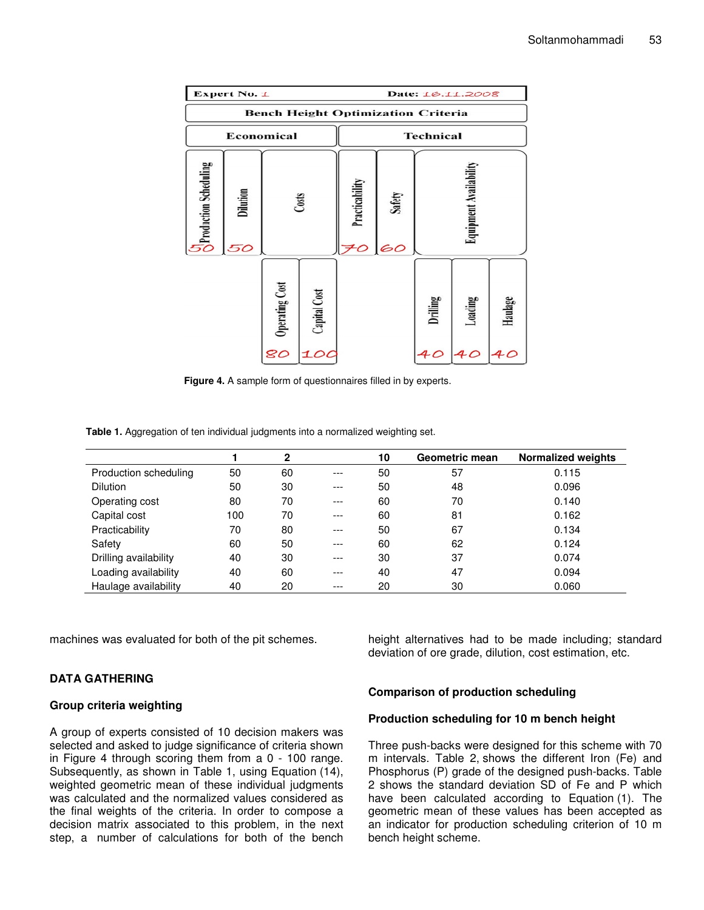| Expert No. 1                              |                       |                |              |                     |              |                               | Date: 16.11.2008 |         |
|-------------------------------------------|-----------------------|----------------|--------------|---------------------|--------------|-------------------------------|------------------|---------|
| <b>Bench Height Optimization Criteria</b> |                       |                |              |                     |              |                               |                  |         |
|                                           |                       | Economical     |              |                     |              | <b>Technical</b>              |                  |         |
| <b>SP</b> roduction Scheduling            | <b>Dilution</b><br>50 |                | Costs        | Practicability<br>0 | Safety<br>60 | <b>Equipment Availability</b> |                  |         |
|                                           |                       | Operating Cost | Capital Cost |                     |              | Drilling                      | Loading          | Haulage |
|                                           |                       | 80             | 100          |                     |              | 40                            | 40               | 40      |

**Figure 4.** A sample form of questionnaires filled in by experts.

**Table 1.** Aggregation of ten individual judgments into a normalized weighting set.

|                       |     | 2  |       | 10 | Geometric mean | <b>Normalized weights</b> |
|-----------------------|-----|----|-------|----|----------------|---------------------------|
| Production scheduling | 50  | 60 | ---   | 50 | 57             | 0.115                     |
| <b>Dilution</b>       | 50  | 30 | ---   | 50 | 48             | 0.096                     |
| Operating cost        | 80  | 70 | ---   | 60 | 70             | 0.140                     |
| Capital cost          | 100 | 70 | $---$ | 60 | 81             | 0.162                     |
| Practicability        | 70  | 80 | $---$ | 50 | 67             | 0.134                     |
| Safety                | 60  | 50 | $---$ | 60 | 62             | 0.124                     |
| Drilling availability | 40  | 30 | $---$ | 30 | 37             | 0.074                     |
| Loading availability  | 40  | 60 | ---   | 40 | 47             | 0.094                     |
| Haulage availability  | 40  | 20 | ---   | 20 | 30             | 0.060                     |

machines was evaluated for both of the pit schemes.

## **DATA GATHERING**

#### **Group criteria weighting**

A group of experts consisted of 10 decision makers was selected and asked to judge significance of criteria shown in Figure 4 through scoring them from a 0 - 100 range. Subsequently, as shown in Table 1, using Equation (14), weighted geometric mean of these individual judgments was calculated and the normalized values considered as the final weights of the criteria. In order to compose a decision matrix associated to this problem, in the next step, a number of calculations for both of the bench

height alternatives had to be made including; standard deviation of ore grade, dilution, cost estimation, etc.

## **Comparison of production scheduling**

#### **Production scheduling for 10 m bench height**

Three push-backs were designed for this scheme with 70 m intervals. Table 2, shows the different Iron (Fe) and Phosphorus (P) grade of the designed push-backs. Table 2 shows the standard deviation SD of Fe and P which have been calculated according to Equation (1). The geometric mean of these values has been accepted as an indicator for production scheduling criterion of 10 m bench height scheme.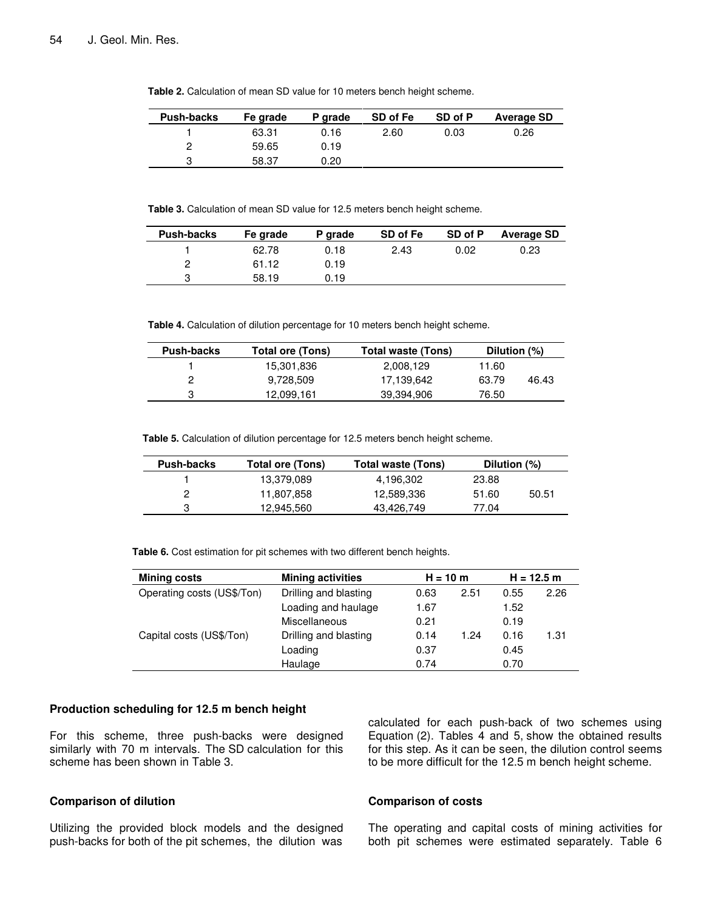| <b>Push-backs</b> | Fe grade | P grade | SD of Fe | SD of P | <b>Average SD</b> |
|-------------------|----------|---------|----------|---------|-------------------|
|                   | 63.31    | 0.16    | 2.60     | 0.03    | 0.26              |
|                   | 59.65    | 0.19    |          |         |                   |
| ິ                 | 58.37    | 0.20    |          |         |                   |

**Table 2.** Calculation of mean SD value for 10 meters bench height scheme.

**Table 3.** Calculation of mean SD value for 12.5 meters bench height scheme.

| <b>Push-backs</b> | Fe grade | P grade | SD of Fe | SD of P | Average SD |
|-------------------|----------|---------|----------|---------|------------|
|                   | 62.78    | 0.18    | 2.43     | 0.02    | 0.23       |
| 2                 | 61.12    | 0.19    |          |         |            |
| ຈ                 | 58.19    | 0.19    |          |         |            |

**Table 4.** Calculation of dilution percentage for 10 meters bench height scheme.

| <b>Push-backs</b> | Total ore (Tons) | Total waste (Tons) | Dilution (%) |       |
|-------------------|------------------|--------------------|--------------|-------|
|                   | 15,301,836       | 2,008,129          | 11.60        |       |
|                   | 9,728,509        | 17.139.642         | 63.79        | 46.43 |
| 3                 | 12,099,161       | 39.394.906         | 76.50        |       |

**Table 5.** Calculation of dilution percentage for 12.5 meters bench height scheme.

| Push-backs | Total ore (Tons) | Total waste (Tons) | Dilution (%) |       |
|------------|------------------|--------------------|--------------|-------|
|            | 13,379,089       | 4,196,302          | 23.88        |       |
|            | 11,807,858       | 12,589,336         | 51.60        | 50.51 |
|            | 12,945,560       | 43,426,749         | 77.04        |       |

**Table 6.** Cost estimation for pit schemes with two different bench heights.

| <b>Mining costs</b>        | <b>Mining activities</b> | $H = 10 m$ |      |      | $H = 12.5 m$ |
|----------------------------|--------------------------|------------|------|------|--------------|
| Operating costs (US\$/Ton) | Drilling and blasting    | 0.63       | 2.51 | 0.55 | 2.26         |
|                            | Loading and haulage      | 1.67       |      | 1.52 |              |
|                            | Miscellaneous            | 0.21       |      | 0.19 |              |
| Capital costs (US\$/Ton)   | Drilling and blasting    | 0.14       | 1.24 | 0.16 | 1.31         |
|                            | Loading                  | 0.37       |      | 0.45 |              |
|                            | Haulage                  | 0.74       |      | 0.70 |              |

#### **Production scheduling for 12.5 m bench height**

For this scheme, three push-backs were designed similarly with 70 m intervals. The SD calculation for this scheme has been shown in Table 3.

#### **Comparison of dilution**

Utilizing the provided block models and the designed push-backs for both of the pit schemes, the dilution was calculated for each push-back of two schemes using Equation (2). Tables 4 and 5, show the obtained results for this step. As it can be seen, the dilution control seems to be more difficult for the 12.5 m bench height scheme.

#### **Comparison of costs**

The operating and capital costs of mining activities for both pit schemes were estimated separately. Table 6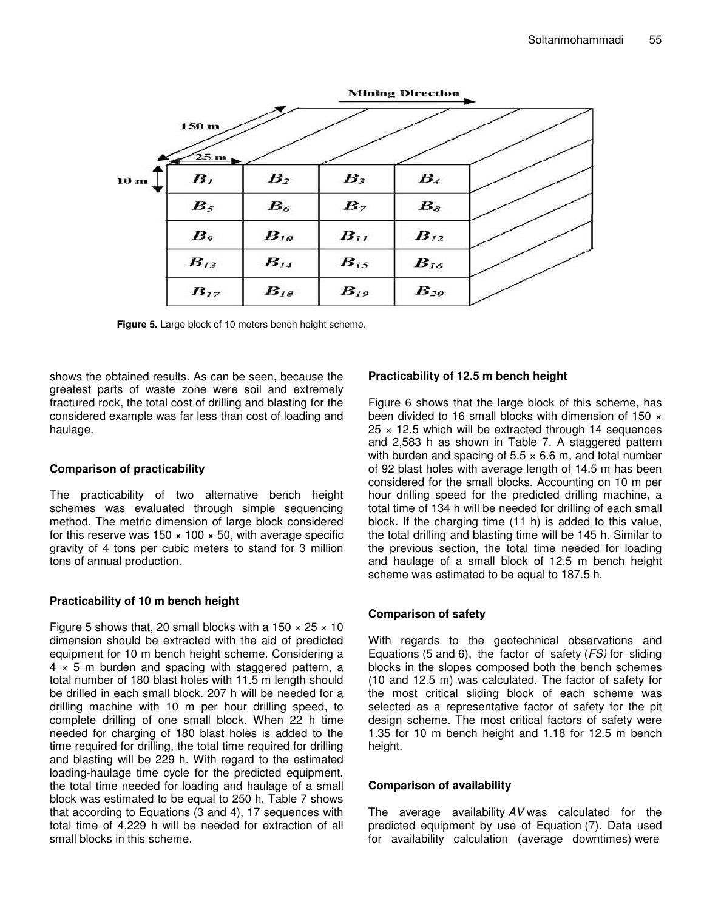

**Figure 5.** Large block of 10 meters bench height scheme.

shows the obtained results. As can be seen, because the greatest parts of waste zone were soil and extremely fractured rock, the total cost of drilling and blasting for the considered example was far less than cost of loading and haulage.

## **Comparison of practicability**

The practicability of two alternative bench height schemes was evaluated through simple sequencing method. The metric dimension of large block considered for this reserve was  $150 \times 100 \times 50$ , with average specific gravity of 4 tons per cubic meters to stand for 3 million tons of annual production.

## **Practicability of 10 m bench height**

Figure 5 shows that, 20 small blocks with a 150  $\times$  25  $\times$  10 dimension should be extracted with the aid of predicted equipment for 10 m bench height scheme. Considering a  $4 \times 5$  m burden and spacing with staggered pattern, a total number of 180 blast holes with 11.5 m length should be drilled in each small block. 207 h will be needed for a drilling machine with 10 m per hour drilling speed, to complete drilling of one small block. When 22 h time needed for charging of 180 blast holes is added to the time required for drilling, the total time required for drilling and blasting will be 229 h. With regard to the estimated loading-haulage time cycle for the predicted equipment, the total time needed for loading and haulage of a small block was estimated to be equal to 250 h. Table 7 shows that according to Equations (3 and 4), 17 sequences with total time of 4,229 h will be needed for extraction of all small blocks in this scheme.

## **Practicability of 12.5 m bench height**

Figure 6 shows that the large block of this scheme, has been divided to 16 small blocks with dimension of 150  $\times$  $25 \times 12.5$  which will be extracted through 14 sequences and 2,583 h as shown in Table 7. A staggered pattern with burden and spacing of  $5.5 \times 6.6$  m, and total number of 92 blast holes with average length of 14.5 m has been considered for the small blocks. Accounting on 10 m per hour drilling speed for the predicted drilling machine, a total time of 134 h will be needed for drilling of each small block. If the charging time (11 h) is added to this value, the total drilling and blasting time will be 145 h. Similar to the previous section, the total time needed for loading and haulage of a small block of 12.5 m bench height scheme was estimated to be equal to 187.5 h.

## **Comparison of safety**

With regards to the geotechnical observations and Equations (5 and 6), the factor of safety (*FS)* for sliding blocks in the slopes composed both the bench schemes (10 and 12.5 m) was calculated. The factor of safety for the most critical sliding block of each scheme was selected as a representative factor of safety for the pit design scheme. The most critical factors of safety were 1.35 for 10 m bench height and 1.18 for 12.5 m bench height.

## **Comparison of availability**

The average availability *AV* was calculated for the predicted equipment by use of Equation (7). Data used for availability calculation (average downtimes) were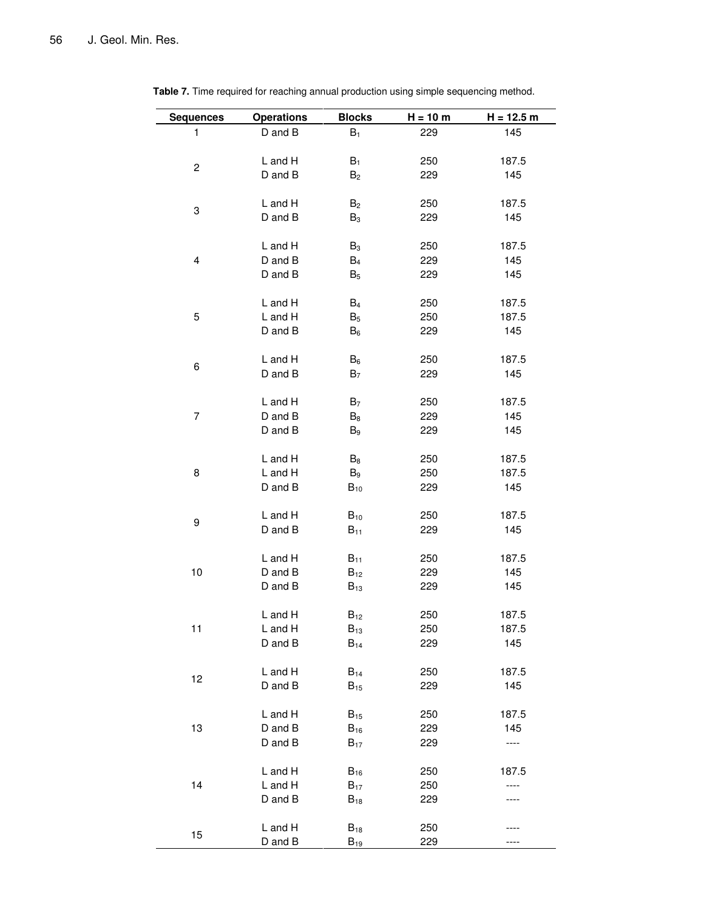| <b>Sequences</b> | <b>Operations</b>  | <b>Blocks</b>  | $H = 10 m$ | $H = 12.5 m$ |
|------------------|--------------------|----------------|------------|--------------|
| 1                | D and B            | $B_1$          | 229        | 145          |
|                  |                    |                |            |              |
|                  | L and H            | $B_1$          | 250        | 187.5        |
| 2                | D and B            | B <sub>2</sub> | 229        | 145          |
|                  |                    |                |            |              |
| 3                | L and H            | B <sub>2</sub> | 250        | 187.5        |
|                  | D and B            | B <sub>3</sub> | 229        | 145          |
|                  |                    |                |            |              |
|                  | L and H            | $B_3$          | 250        | 187.5        |
| 4                | D and B<br>D and B | $B_4$          | 229<br>229 | 145<br>145   |
|                  |                    | $B_5$          |            |              |
|                  | L and H            | $B_4$          | 250        | 187.5        |
| 5                | L and H            | $B_5$          | 250        | 187.5        |
|                  | D and B            | $B_6$          | 229        | 145          |
|                  |                    |                |            |              |
| 6                | L and H            | $B_6$          | 250        | 187.5        |
|                  | D and B            | B <sub>7</sub> | 229        | 145          |
|                  |                    |                |            |              |
|                  | L and H            | B <sub>7</sub> | 250        | 187.5        |
| 7                | D and B            | B8             | 229        | 145          |
|                  | D and B            | B9             | 229        | 145          |
|                  | L and H            | $B_8$          | 250        | 187.5        |
| 8                | L and H            | $B_9$          | 250        | 187.5        |
|                  | D and B            | $B_{10}$       | 229        | 145          |
|                  |                    |                |            |              |
| 9                | L and H            | $B_{10}$       | 250        | 187.5        |
|                  | D and B            | $B_{11}$       | 229        | 145          |
|                  |                    |                |            |              |
|                  | L and H            | $B_{11}$       | 250        | 187.5        |
| 10               | D and B<br>D and B | $B_{12}$       | 229        | 145          |
|                  |                    | $B_{13}$       | 229        | 145          |
|                  | L and H            | $B_{12}$       | 250        | 187.5        |
| 11               | L and H            | $B_{13}$       | 250        | 187.5        |
|                  | D and B            | $B_{14}$       | 229        | 145          |
|                  |                    |                |            |              |
| 12               | L and H            | $B_{14}$       | 250        | 187.5        |
|                  | D and B            | $B_{15}$       | 229        | 145          |
|                  |                    |                |            |              |
|                  | L and H            | $B_{15}$       | 250        | 187.5        |
| 13               | D and B            | $B_{16}$       | 229        | 145          |
|                  | D and B            | $B_{17}$       | 229        | ----         |
|                  | L and H            | $B_{16}$       | 250        | 187.5        |
| 14               | L and H            | $B_{17}$       | 250        |              |
|                  | D and B            | $B_{18}$       | 229        |              |
|                  |                    |                |            |              |
| 15               | L and H            | $B_{18}$       | 250        |              |
|                  | D and B            | $B_{19}$       | 229        |              |

**Table 7.** Time required for reaching annual production using simple sequencing method.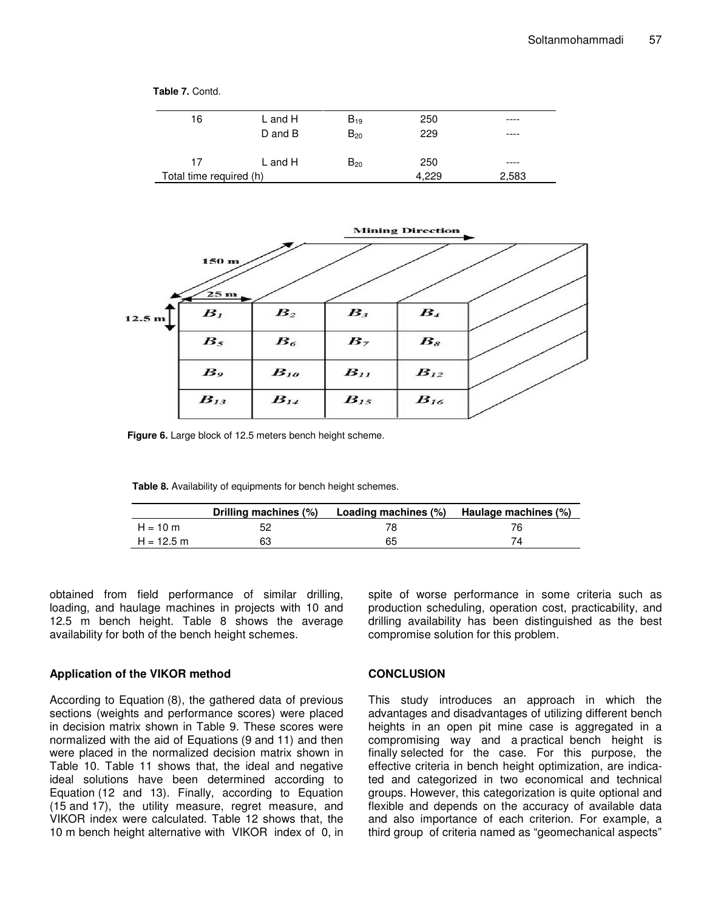



**Figure 6.** Large block of 12.5 meters bench height scheme.

**Table 8.** Availability of equipments for bench height schemes.

|              | Drilling machines (%) | Loading machines (%) Haulage machines (%) |  |
|--------------|-----------------------|-------------------------------------------|--|
| $H = 10 m$   |                       |                                           |  |
| $H = 12.5$ m | 63                    | 65                                        |  |

obtained from field performance of similar drilling, loading, and haulage machines in projects with 10 and 12.5 m bench height. Table 8 shows the average availability for both of the bench height schemes.

**Table 7.** Contd.

#### **Application of the VIKOR method**

According to Equation (8), the gathered data of previous sections (weights and performance scores) were placed in decision matrix shown in Table 9. These scores were normalized with the aid of Equations (9 and 11) and then were placed in the normalized decision matrix shown in Table 10. Table 11 shows that, the ideal and negative ideal solutions have been determined according to Equation (12 and 13). Finally, according to Equation (15 and 17), the utility measure, regret measure, and VIKOR index were calculated. Table 12 shows that, the 10 m bench height alternative with VIKOR index of 0, in spite of worse performance in some criteria such as production scheduling, operation cost, practicability, and drilling availability has been distinguished as the best compromise solution for this problem.

#### **CONCLUSION**

This study introduces an approach in which the advantages and disadvantages of utilizing different bench heights in an open pit mine case is aggregated in a compromising way and a practical bench height is finally selected for the case. For this purpose, the effective criteria in bench height optimization, are indicated and categorized in two economical and technical groups. However, this categorization is quite optional and flexible and depends on the accuracy of available data and also importance of each criterion. For example, a third group of criteria named as "geomechanical aspects"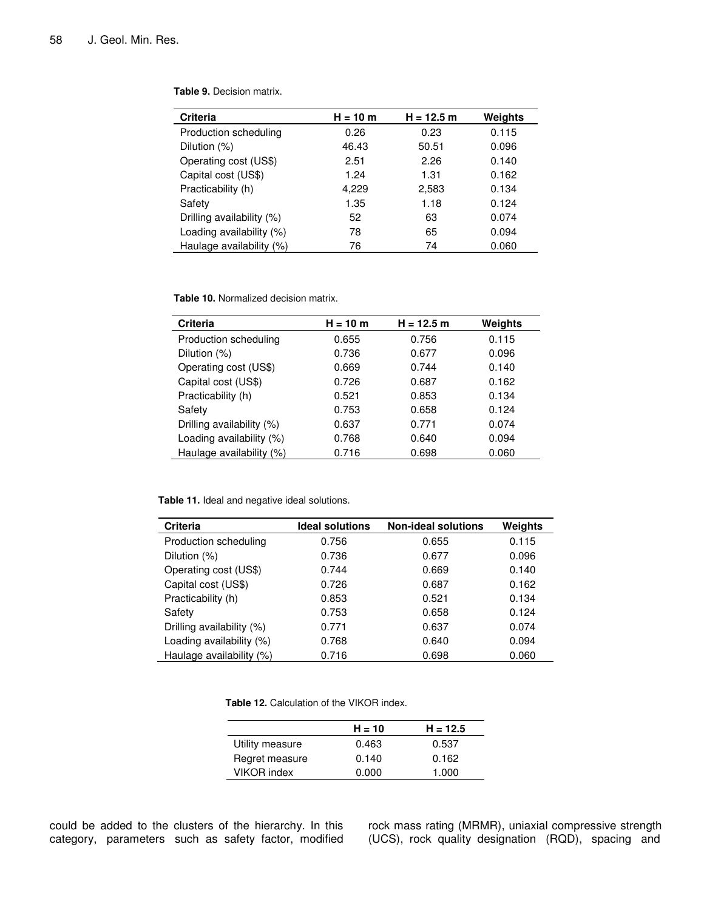| <b>Criteria</b>           | $H = 10 m$ | $H = 12.5 m$ | Weights |
|---------------------------|------------|--------------|---------|
| Production scheduling     | 0.26       | 0.23         | 0.115   |
| Dilution (%)              | 46.43      | 50.51        | 0.096   |
| Operating cost (US\$)     | 2.51       | 2.26         | 0.140   |
| Capital cost (US\$)       | 1.24       | 1.31         | 0.162   |
| Practicability (h)        | 4,229      | 2,583        | 0.134   |
| Safety                    | 1.35       | 1.18         | 0.124   |
| Drilling availability (%) | 52         | 63           | 0.074   |
| Loading availability (%)  | 78         | 65           | 0.094   |
| Haulage availability (%)  | 76         | 74           | 0.060   |

**Table 9.** Decision matrix.

**Table 10.** Normalized decision matrix.

| <b>Criteria</b>           | H = 10 m | $H = 12.5 m$ | Weights |
|---------------------------|----------|--------------|---------|
| Production scheduling     | 0.655    | 0.756        | 0.115   |
| Dilution (%)              | 0.736    | 0.677        | 0.096   |
| Operating cost (US\$)     | 0.669    | 0.744        | 0.140   |
| Capital cost (US\$)       | 0.726    | 0.687        | 0.162   |
| Practicability (h)        | 0.521    | 0.853        | 0.134   |
| Safety                    | 0.753    | 0.658        | 0.124   |
| Drilling availability (%) | 0.637    | 0.771        | 0.074   |
| Loading availability (%)  | 0.768    | 0.640        | 0.094   |
| Haulage availability (%)  | 0.716    | 0.698        | 0.060   |

**Table 11.** Ideal and negative ideal solutions.

| <b>Ideal solutions</b> | <b>Non-ideal solutions</b> | Weights |
|------------------------|----------------------------|---------|
| 0.756                  | 0.655                      | 0.115   |
| 0.736                  | 0.677                      | 0.096   |
| 0.744                  | 0.669                      | 0.140   |
| 0.726                  | 0.687                      | 0.162   |
| 0.853                  | 0.521                      | 0.134   |
| 0.753                  | 0.658                      | 0.124   |
| 0.771                  | 0.637                      | 0.074   |
| 0.768                  | 0.640                      | 0.094   |
| 0.716                  | 0.698                      | 0.060   |
|                        |                            |         |

**Table 12.** Calculation of the VIKOR index.

|                    | $H = 10$ | $H = 12.5$ |
|--------------------|----------|------------|
| Utility measure    | 0.463    | 0.537      |
| Regret measure     | 0.140    | 0.162      |
| <b>VIKOR</b> index | 0.000    | 1.000      |
|                    |          |            |

could be added to the clusters of the hierarchy. In this category, parameters such as safety factor, modified rock mass rating (MRMR), uniaxial compressive strength (UCS), rock quality designation (RQD), spacing and